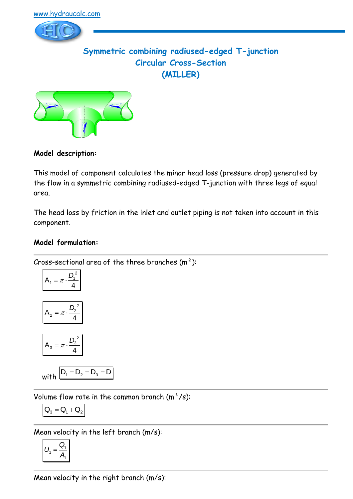

**Symmetric combining radiused-edged T-junction Circular Cross-Section (MILLER)**



## **Model description:**

This model of component calculates the minor head loss (pressure drop) generated by the flow in a symmetric combining radiused-edged T-junction with three legs of equal area.

The head loss by friction in the inlet and outlet piping is not taken into account in this component.

## **Model formulation:**

Cross-sectional area of the three branches  $(m<sup>2</sup>)$ :

$$
A_1 = \pi \cdot \frac{D_1^2}{4}
$$

$$
A_2 = \pi \cdot \frac{D_2^2}{4}
$$

$$
A_3 = \pi \cdot \frac{D_3^2}{4}
$$

$$
\text{with } D_1 = D_2 = D_3 = D
$$

Volume flow rate in the common branch  $(m^3/s)$ :

$$
\boxed{\textbf{Q}_3 = \textbf{Q}_1 + \textbf{Q}_2}
$$

Mean velocity in the left branch (m/s):

$$
U_1 = \frac{Q_1}{A_1}
$$

Mean velocity in the right branch (m/s):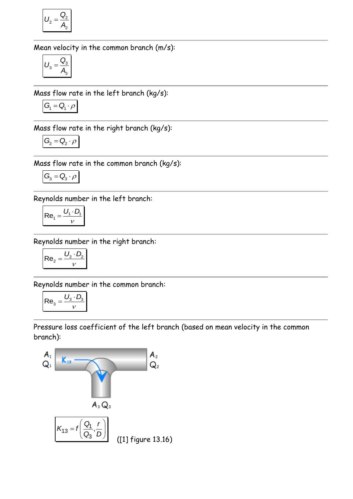$$
U_2 = \frac{Q_2}{A_2}
$$

Mean velocity in the common branch (m/s):

$$
U_3 = \frac{Q_3}{A_3}
$$

Mass flow rate in the left branch (kg/s):

$$
G_1 = Q_1 \cdot \rho
$$

Mass flow rate in the right branch (kg/s):

$$
G_2 = Q_2 \cdot \rho
$$

Mass flow rate in the common branch (kg/s):

$$
G_{\!\scriptscriptstyle 3}=Q_{\!\scriptscriptstyle 3}\cdot\rho
$$

Reynolds number in the left branch:

$$
Re_1 = \frac{U_1 \cdot D_1}{V}
$$

Reynolds number in the right branch:

$$
Re_2 = \frac{U_2 \cdot D_2}{v}
$$

Reynolds number in the common branch:

$$
\mathsf{Re}_3 = \frac{U_3 \cdot D_3}{\nu}
$$

Pressure loss coefficient of the left branch (based on mean velocity in the common branch):

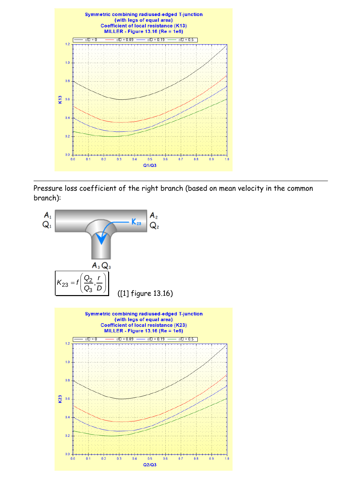

Pressure loss coefficient of the right branch (based on mean velocity in the common branch):

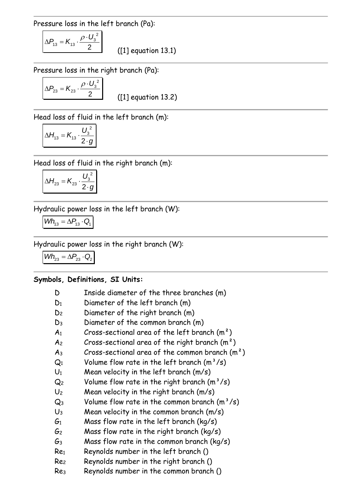Pressure loss in the left branch (Pa):

$$
\Delta P_{13} = K_{13} \cdot \frac{\rho \cdot U_3^2}{2}
$$

([1] equation 13.1)

Pressure loss in the right branch (Pa):

$$
\Delta P_{23} = K_{23} \cdot \frac{\rho \cdot U_3^2}{2}
$$

([1] equation 13.2)

Head loss of fluid in the left branch (m):

$$
\Delta H_{13} = K_{13} \cdot \frac{U_3^2}{2 \cdot g}
$$

Head loss of fluid in the right branch (m):

$$
\Delta H_{23} = K_{23} \cdot \frac{U_3^2}{2 \cdot g}
$$

Hydraulic power loss in the left branch (W):

$$
\textit{Wh}_{13} = \Delta P_{13} \cdot Q_1
$$

Hydraulic power loss in the right branch (W):

 $Wh_{23} = \Delta P_{23} \cdot Q_2$ 

### **Symbols, Definitions, SI Units:**

| D               | Inside diameter of the three branches (m)        |
|-----------------|--------------------------------------------------|
| $\mathsf{D}_1$  | Diameter of the left branch (m)                  |
| D2              | Diameter of the right branch (m)                 |
| D3              | Diameter of the common branch (m)                |
| $\mathsf A_1$   | Cross-sectional area of the left branch $(m^2)$  |
| A2              | Cross-sectional area of the right branch $(m2)$  |
| Aз              | Cross-sectional area of the common branch $(m2)$ |
| $Q_1$           | Volume flow rate in the left branch $(m^3/s)$    |
| $U_1$           | Mean velocity in the left branch (m/s)           |
| Q <sub>2</sub>  | Volume flow rate in the right branch $(m^3/s)$   |
| $U_2$           | Mean velocity in the right branch $(m/s)$        |
| $Q_3$           | Volume flow rate in the common branch $(m^3/s)$  |
| $U_3$           | Mean velocity in the common branch $(m/s)$       |
| $G_1$           | Mass flow rate in the left branch ( $kg/s$ )     |
| G2              | Mass flow rate in the right branch (kg/s)        |
| G <sub>3</sub>  | Mass flow rate in the common branch (kg/s)       |
| Re <sub>1</sub> | Reynolds number in the left branch ()            |
| Re <sub>2</sub> | Reynolds number in the right branch ()           |
|                 |                                                  |

Re<sup>3</sup> Reynolds number in the common branch ()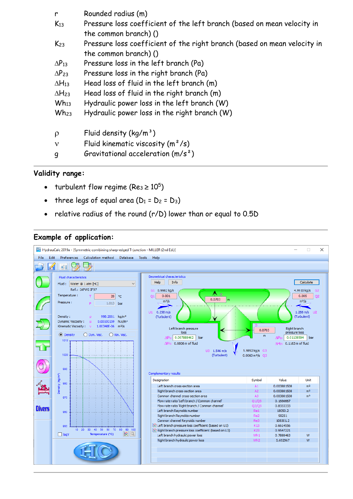| r<br>$K_{13}$   | Rounded radius (m)<br>Pressure loss coefficient of the left branch (based on mean velocity in<br>the common branch) () |
|-----------------|------------------------------------------------------------------------------------------------------------------------|
| $K_{23}$        | Pressure loss coefficient of the right branch (based on mean velocity in<br>the common branch) ()                      |
| $\Delta P_{13}$ | Pressure loss in the left branch (Pa)                                                                                  |
| $\Delta P_{23}$ | Pressure loss in the right branch (Pa)                                                                                 |
| $\Delta H_{13}$ | Head loss of fluid in the left branch (m)                                                                              |
| $\Delta H_{23}$ | Head loss of fluid in the right branch (m)                                                                             |
| $Wh_{13}$       | Hydraulic power loss in the left branch (W)                                                                            |
| $Wh_{23}$       | Hydraulic power loss in the right branch (W)                                                                           |
| $\rho$          | Fluid density $(kq/m^3)$                                                                                               |
| $\mathbf v$     | Fluid kinematic viscosity $(m^2/s)$                                                                                    |
| g               | Gravitational acceleration $(m/s^2)$                                                                                   |

### **Validity range:**

- turbulent flow regime (Re<sub>3</sub>  $\geq 10^5$ )
- three legs of equal area  $(D_1 = D_2 = D_3)$
- relative radius of the round (r/D) lower than or equal to 0.5D

#### **Example of application:**